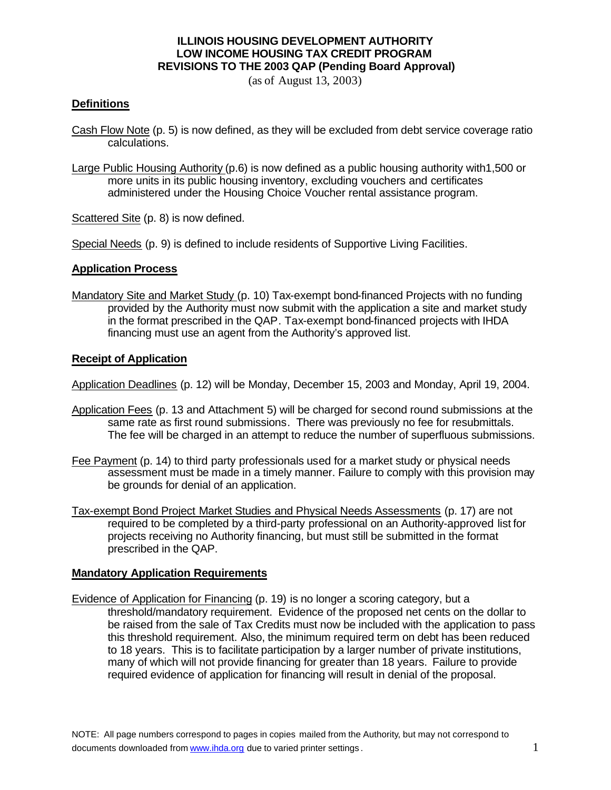### **ILLINOIS HOUSING DEVELOPMENT AUTHORITY LOW INCOME HOUSING TAX CREDIT PROGRAM REVISIONS TO THE 2003 QAP (Pending Board Approval)**

(as of August 13, 2003)

### **Definitions**

- Cash Flow Note (p. 5) is now defined, as they will be excluded from debt service coverage ratio calculations.
- Large Public Housing Authority (p.6) is now defined as a public housing authority with1,500 or more units in its public housing inventory, excluding vouchers and certificates administered under the Housing Choice Voucher rental assistance program.

Scattered Site (p. 8) is now defined.

Special Needs (p. 9) is defined to include residents of Supportive Living Facilities.

#### **Application Process**

Mandatory Site and Market Study (p. 10) Tax-exempt bond-financed Projects with no funding provided by the Authority must now submit with the application a site and market study in the format prescribed in the QAP. Tax-exempt bond-financed projects with IHDA financing must use an agent from the Authority's approved list.

### **Receipt of Application**

Application Deadlines (p. 12) will be Monday, December 15, 2003 and Monday, April 19, 2004.

- Application Fees (p. 13 and Attachment 5) will be charged for second round submissions at the same rate as first round submissions. There was previously no fee for resubmittals. The fee will be charged in an attempt to reduce the number of superfluous submissions.
- Fee Payment (p. 14) to third party professionals used for a market study or physical needs assessment must be made in a timely manner. Failure to comply with this provision may be grounds for denial of an application.
- Tax-exempt Bond Project Market Studies and Physical Needs Assessments (p. 17) are not required to be completed by a third-party professional on an Authority-approved list for projects receiving no Authority financing, but must still be submitted in the format prescribed in the QAP.

### **Mandatory Application Requirements**

Evidence of Application for Financing (p. 19) is no longer a scoring category, but a threshold/mandatory requirement. Evidence of the proposed net cents on the dollar to be raised from the sale of Tax Credits must now be included with the application to pass this threshold requirement. Also, the minimum required term on debt has been reduced to 18 years. This is to facilitate participation by a larger number of private institutions, many of which will not provide financing for greater than 18 years. Failure to provide required evidence of application for financing will result in denial of the proposal.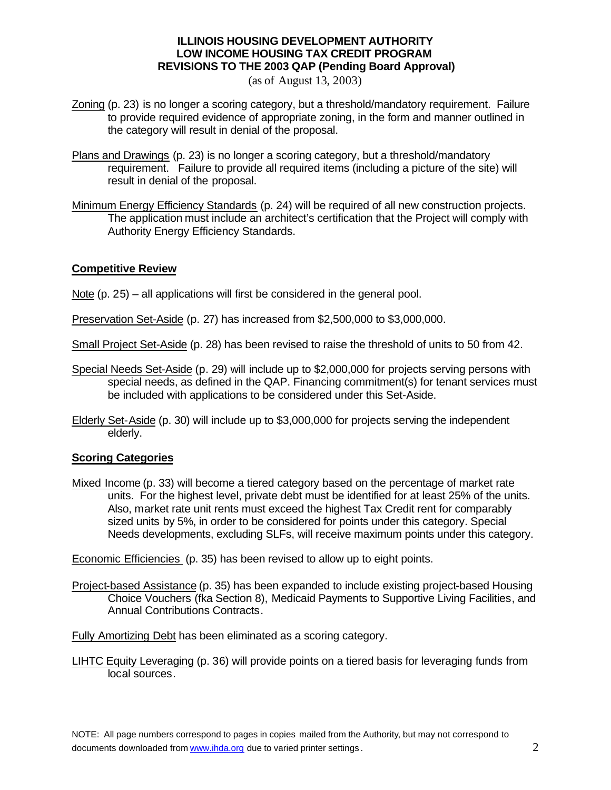# **ILLINOIS HOUSING DEVELOPMENT AUTHORITY LOW INCOME HOUSING TAX CREDIT PROGRAM REVISIONS TO THE 2003 QAP (Pending Board Approval)**

(as of August 13, 2003)

- Zoning (p. 23) is no longer a scoring category, but a threshold/mandatory requirement. Failure to provide required evidence of appropriate zoning, in the form and manner outlined in the category will result in denial of the proposal.
- Plans and Drawings (p. 23) is no longer a scoring category, but a threshold/mandatory requirement. Failure to provide all required items (including a picture of the site) will result in denial of the proposal.
- Minimum Energy Efficiency Standards (p. 24) will be required of all new construction projects. The application must include an architect's certification that the Project will comply with Authority Energy Efficiency Standards.

# **Competitive Review**

Note (p. 25) – all applications will first be considered in the general pool.

Preservation Set-Aside (p. 27) has increased from \$2,500,000 to \$3,000,000.

Small Project Set-Aside (p. 28) has been revised to raise the threshold of units to 50 from 42.

- Special Needs Set-Aside (p. 29) will include up to \$2,000,000 for projects serving persons with special needs, as defined in the QAP. Financing commitment(s) for tenant services must be included with applications to be considered under this Set-Aside.
- Elderly Set-Aside (p. 30) will include up to \$3,000,000 for projects serving the independent elderly.

### **Scoring Categories**

Mixed Income (p. 33) will become a tiered category based on the percentage of market rate units. For the highest level, private debt must be identified for at least 25% of the units. Also, market rate unit rents must exceed the highest Tax Credit rent for comparably sized units by 5%, in order to be considered for points under this category. Special Needs developments, excluding SLFs, will receive maximum points under this category.

Economic Efficiencies (p. 35) has been revised to allow up to eight points.

Project-based Assistance (p. 35) has been expanded to include existing project-based Housing Choice Vouchers (fka Section 8), Medicaid Payments to Supportive Living Facilities, and Annual Contributions Contracts.

Fully Amortizing Debt has been eliminated as a scoring category.

LIHTC Equity Leveraging (p. 36) will provide points on a tiered basis for leveraging funds from local sources.